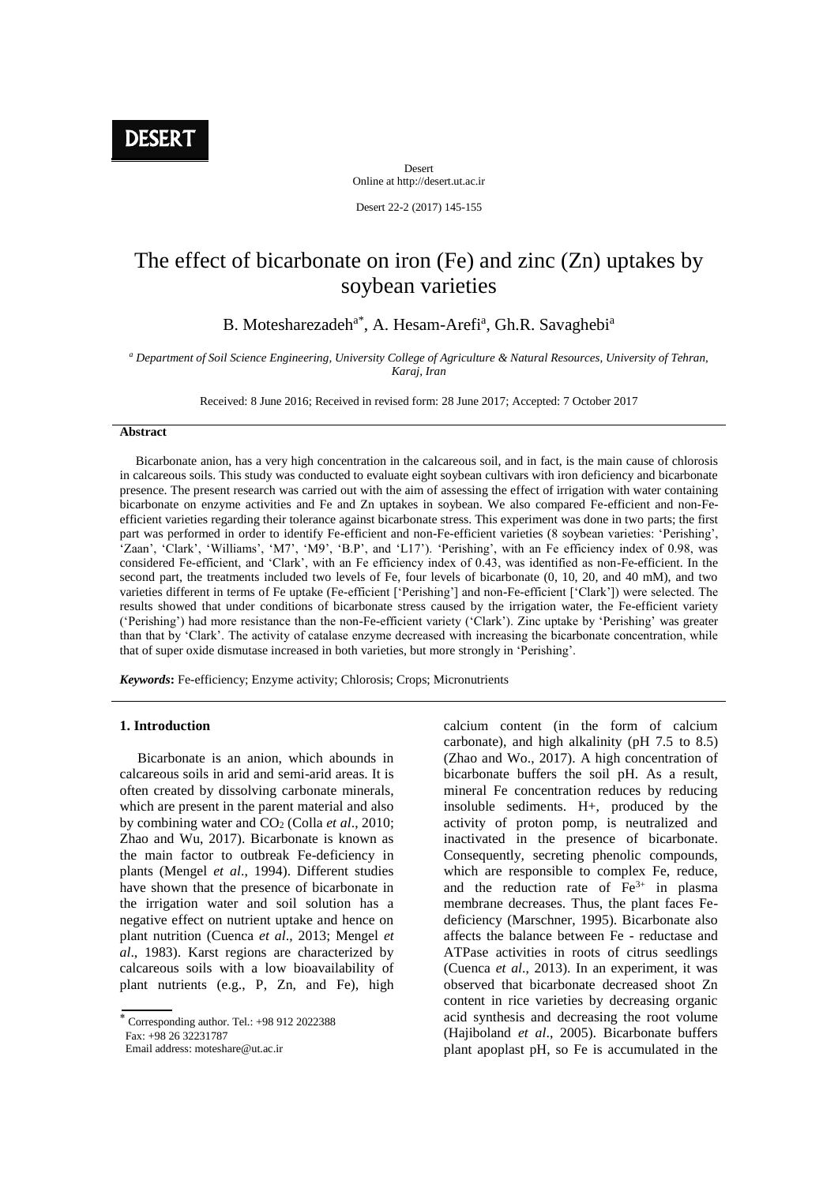**DESERT** 

Desert Online at http://desert.ut.ac.ir

Desert 22-2 (2017) 145-155

# The effect of bicarbonate on iron (Fe) and zinc (Zn) uptakes by soybean varieties

B. Motesharezadeh<sup>a\*</sup>, A. Hesam-Arefi<sup>a</sup>, Gh.R. Savaghebi<sup>a</sup>

*<sup>a</sup> Department of Soil Science Engineering, University College of Agriculture & Natural Resources, University of Tehran, Karaj, Iran*

Received: 8 June 2016; Received in revised form: 28 June 2017; Accepted: 7 October 2017

#### **Abstract**

 Bicarbonate anion, has a very high concentration in the calcareous soil, and in fact, is the main cause of chlorosis in calcareous soils. This study was conducted to evaluate eight soybean cultivars with iron deficiency and bicarbonate presence. The present research was carried out with the aim of assessing the effect of irrigation with water containing bicarbonate on enzyme activities and Fe and Zn uptakes in soybean. We also compared Fe-efficient and non-Feefficient varieties regarding their tolerance against bicarbonate stress. This experiment was done in two parts; the first part was performed in order to identify Fe-efficient and non-Fe-efficient varieties (8 soybean varieties: 'Perishing', 'Zaan', 'Clark', 'Williams', 'M7', 'M9', 'B.P', and 'L17'). 'Perishing', with an Fe efficiency index of 0.98, was considered Fe-efficient, and 'Clark', with an Fe efficiency index of 0.43, was identified as non-Fe-efficient. In the second part, the treatments included two levels of Fe, four levels of bicarbonate (0, 10, 20, and 40 mM), and two varieties different in terms of Fe uptake (Fe-efficient ['Perishing'] and non-Fe-efficient ['Clark']) were selected. The results showed that under conditions of bicarbonate stress caused by the irrigation water, the Fe-efficient variety ('Perishing') had more resistance than the non-Fe-efficient variety ('Clark'). Zinc uptake by 'Perishing' was greater than that by 'Clark'. The activity of catalase enzyme decreased with increasing the bicarbonate concentration, while that of super oxide dismutase increased in both varieties, but more strongly in 'Perishing'.

*Keywords***:** Fe-efficiency; Enzyme activity; Chlorosis; Crops; Micronutrients

#### **1. Introduction**

 Bicarbonate is an anion, which abounds in calcareous soils in arid and semi-arid areas. It is often created by dissolving carbonate minerals, which are present in the parent material and also by combining water and CO<sup>2</sup> (Colla *et al*., 2010; Zhao and Wu, 2017). Bicarbonate is known as the main factor to outbreak Fe-deficiency in plants (Mengel *et al*., 1994). Different studies have shown that the presence of bicarbonate in the irrigation water and soil solution has a negative effect on nutrient uptake and hence on plant nutrition (Cuenca *et al*., 2013; Mengel *et al*., 1983). Karst regions are characterized by calcareous soils with a low bioavailability of plant nutrients (e.g., P, Zn, and Fe), high

Email address: moteshare@ut.ac.ir

calcium content (in the form of calcium carbonate), and high alkalinity (pH 7.5 to 8.5) (Zhao and Wo., 2017). A high concentration of bicarbonate buffers the soil pH. As a result, mineral Fe concentration reduces by reducing insoluble sediments. H+, produced by the activity of proton pomp, is neutralized and inactivated in the presence of bicarbonate. Consequently, secreting phenolic compounds, which are responsible to complex Fe, reduce, and the reduction rate of  $Fe<sup>3+</sup>$  in plasma membrane decreases. Thus, the plant faces Fedeficiency (Marschner, 1995). Bicarbonate also affects the balance between Fe - reductase and ATPase activities in roots of citrus seedlings (Cuenca *et al*., 2013). In an experiment, it was observed that bicarbonate decreased shoot Zn content in rice varieties by decreasing organic acid synthesis and decreasing the root volume (Hajiboland *et al*., 2005). Bicarbonate buffers plant apoplast pH, so Fe is accumulated in the

Corresponding author. Tel.: +98 912 2022388 Fax: +98 26 32231787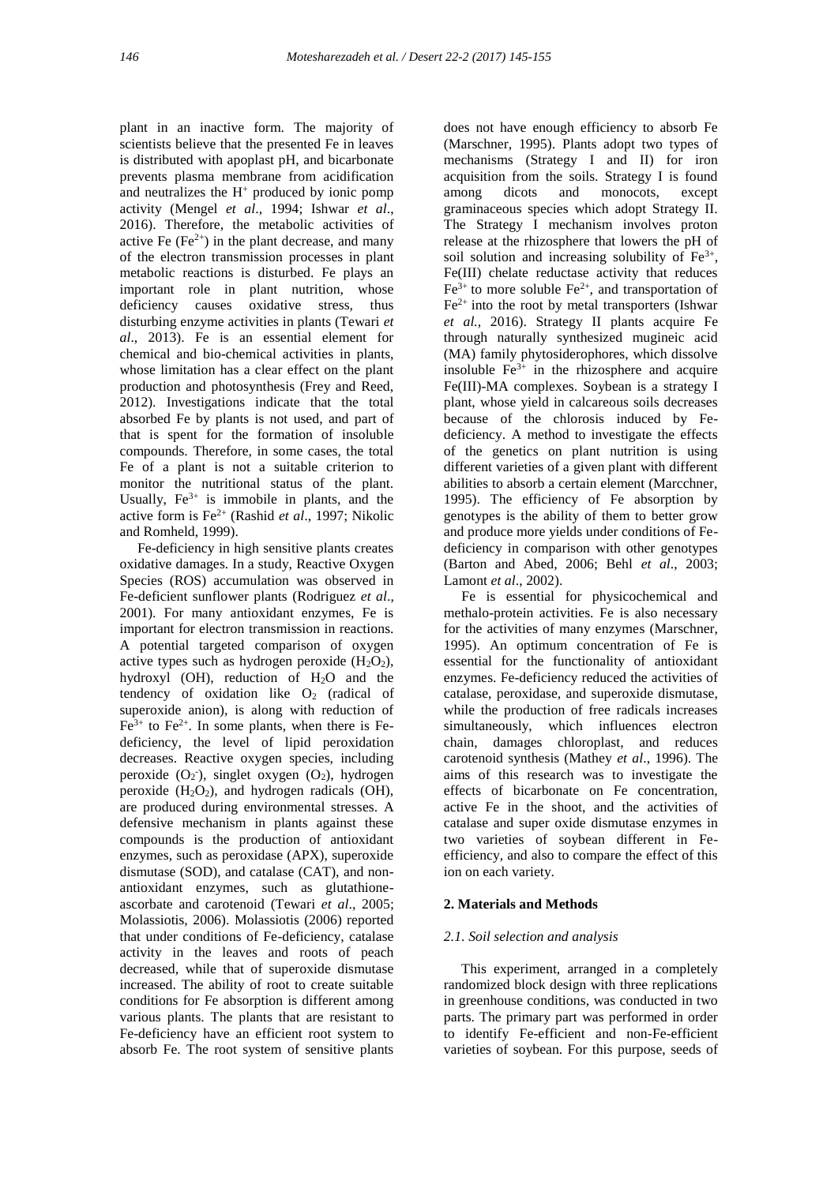plant in an inactive form. The majority of scientists believe that the presented Fe in leaves is distributed with apoplast pH, and bicarbonate prevents plasma membrane from acidification and neutralizes the  $H^+$  produced by ionic pomp activity (Mengel *et al*., 1994; Ishwar *et al*., 2016). Therefore, the metabolic activities of active Fe  $(Fe^{2+})$  in the plant decrease, and many of the electron transmission processes in plant metabolic reactions is disturbed. Fe plays an important role in plant nutrition, whose deficiency causes oxidative stress, thus disturbing enzyme activities in plants (Tewari *et al*., 2013). Fe is an essential element for chemical and bio-chemical activities in plants, whose limitation has a clear effect on the plant production and photosynthesis (Frey and Reed, 2012). Investigations indicate that the total absorbed Fe by plants is not used, and part of that is spent for the formation of insoluble compounds. Therefore, in some cases, the total Fe of a plant is not a suitable criterion to monitor the nutritional status of the plant. Usually,  $Fe^{3+}$  is immobile in plants, and the active form is Fe2+ (Rashid *et al*., 1997; Nikolic and Romheld, 1999).

 Fe-deficiency in high sensitive plants creates oxidative damages. In a study, Reactive Oxygen Species (ROS) accumulation was observed in Fe-deficient sunflower plants (Rodriguez *et al*., 2001). For many antioxidant enzymes, Fe is important for electron transmission in reactions. A potential targeted comparison of oxygen active types such as hydrogen peroxide  $(H_2O_2)$ , hydroxyl (OH), reduction of H<sub>2</sub>O and the tendency of oxidation like  $O_2$  (radical of superoxide anion), is along with reduction of  $Fe<sup>3+</sup>$  to  $Fe<sup>2+</sup>$ . In some plants, when there is Fedeficiency, the level of lipid peroxidation decreases. Reactive oxygen species, including peroxide  $(O_2)$ , singlet oxygen  $(O_2)$ , hydrogen peroxide  $(H_2O_2)$ , and hydrogen radicals  $(OH)$ , are produced during environmental stresses. A defensive mechanism in plants against these compounds is the production of antioxidant enzymes, such as peroxidase (APX), superoxide dismutase (SOD), and catalase (CAT), and nonantioxidant enzymes, such as glutathioneascorbate and carotenoid (Tewari *et al*., 2005; Molassiotis, 2006). Molassiotis (2006) reported that under conditions of Fe-deficiency, catalase activity in the leaves and roots of peach decreased, while that of superoxide dismutase increased. The ability of root to create suitable conditions for Fe absorption is different among various plants. The plants that are resistant to Fe-deficiency have an efficient root system to absorb Fe. The root system of sensitive plants

does not have enough efficiency to absorb Fe (Marschner, 1995). Plants adopt two types of mechanisms (Strategy I and II) for iron acquisition from the soils. Strategy I is found among dicots and monocots, except graminaceous species which adopt Strategy II. The Strategy I mechanism involves proton release at the rhizosphere that lowers the pH of soil solution and increasing solubility of  $Fe<sup>3+</sup>$ , Fe(III) chelate reductase activity that reduces  $Fe<sup>3+</sup>$  to more soluble  $Fe<sup>2+</sup>$ , and transportation of  $Fe<sup>2+</sup>$  into the root by metal transporters (Ishwar *et al.,* 2016). Strategy II plants acquire Fe through naturally synthesized mugineic acid (MA) family phytosiderophores, which dissolve insoluble  $Fe^{3+}$  in the rhizosphere and acquire Fe(III)-MA complexes. Soybean is a strategy I plant, whose yield in calcareous soils decreases because of the chlorosis induced by Fedeficiency. A method to investigate the effects of the genetics on plant nutrition is using different varieties of a given plant with different abilities to absorb a certain element (Marcchner, 1995). The efficiency of Fe absorption by genotypes is the ability of them to better grow and produce more yields under conditions of Fedeficiency in comparison with other genotypes (Barton and Abed, 2006; Behl *et al*., 2003; Lamont *et al*., 2002).

 Fe is essential for physicochemical and methalo-protein activities. Fe is also necessary for the activities of many enzymes (Marschner, 1995). An optimum concentration of Fe is essential for the functionality of antioxidant enzymes. Fe-deficiency reduced the activities of catalase, peroxidase, and superoxide dismutase, while the production of free radicals increases simultaneously, which influences electron chain, damages chloroplast, and reduces carotenoid synthesis (Mathey *et al*., 1996). The aims of this research was to investigate the effects of bicarbonate on Fe concentration, active Fe in the shoot, and the activities of catalase and super oxide dismutase enzymes in two varieties of soybean different in Feefficiency, and also to compare the effect of this ion on each variety.

#### **2. Materials and Methods**

#### *2.1. Soil selection and analysis*

 This experiment, arranged in a completely randomized block design with three replications in greenhouse conditions, was conducted in two parts. The primary part was performed in order to identify Fe-efficient and non-Fe-efficient varieties of soybean. For this purpose, seeds of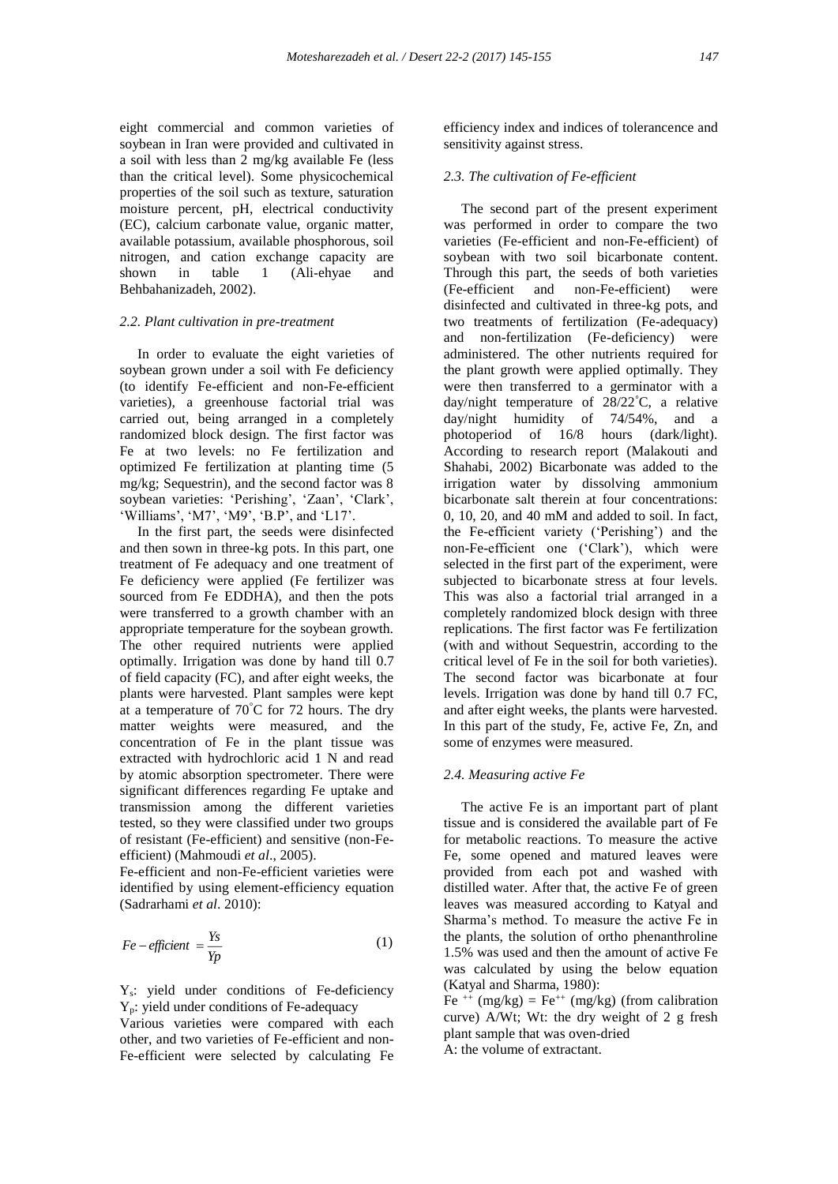eight commercial and common varieties of soybean in Iran were provided and cultivated in a soil with less than 2 mg/kg available Fe (less than the critical level). Some physicochemical properties of the soil such as texture, saturation moisture percent, pH, electrical conductivity (EC), calcium carbonate value, organic matter, available potassium, available phosphorous, soil nitrogen, and cation exchange capacity are shown in table 1 (Ali-ehyae and Behbahanizadeh, 2002).

#### *2.2. Plant cultivation in pre-treatment*

 In order to evaluate the eight varieties of soybean grown under a soil with Fe deficiency (to identify Fe-efficient and non-Fe-efficient varieties), a greenhouse factorial trial was carried out, being arranged in a completely randomized block design. The first factor was Fe at two levels: no Fe fertilization and optimized Fe fertilization at planting time (5 mg/kg; Sequestrin), and the second factor was 8 soybean varieties: 'Perishing', 'Zaan', 'Clark', 'Williams', 'M7', 'M9', 'B.P', and 'L17'.

 In the first part, the seeds were disinfected and then sown in three-kg pots. In this part, one treatment of Fe adequacy and one treatment of Fe deficiency were applied (Fe fertilizer was sourced from Fe EDDHA), and then the pots were transferred to a growth chamber with an appropriate temperature for the soybean growth. The other required nutrients were applied optimally. Irrigation was done by hand till 0.7 of field capacity (FC), and after eight weeks, the plants were harvested. Plant samples were kept at a temperature of 70°C for 72 hours. The dry matter weights were measured, and the concentration of Fe in the plant tissue was extracted with hydrochloric acid 1 N and read by atomic absorption spectrometer. There were significant differences regarding Fe uptake and transmission among the different varieties tested, so they were classified under two groups of resistant (Fe-efficient) and sensitive (non-Feefficient) (Mahmoudi *et al*., 2005).

Fe-efficient and non-Fe-efficient varieties were identified by using element-efficiency equation (Sadrarhami *et al*. 2010):

$$
Fe-efficient = \frac{Y_s}{Yp} \tag{1}
$$

Ys: yield under conditions of Fe-deficiency Yp: yield under conditions of Fe-adequacy

Various varieties were compared with each other, and two varieties of Fe-efficient and non-Fe-efficient were selected by calculating Fe efficiency index and indices of tolerancence and sensitivity against stress.

## *2.3. The cultivation of Fe-efficient*

 The second part of the present experiment was performed in order to compare the two varieties (Fe-efficient and non-Fe-efficient) of soybean with two soil bicarbonate content. Through this part, the seeds of both varieties (Fe-efficient and non-Fe-efficient) were disinfected and cultivated in three-kg pots, and two treatments of fertilization (Fe-adequacy) and non-fertilization (Fe-deficiency) were administered. The other nutrients required for the plant growth were applied optimally. They were then transferred to a germinator with a day/night temperature of 28/22°C, a relative day/night humidity of 74/54%, and a photoperiod of 16/8 hours (dark/light). According to research report (Malakouti and Shahabi, 2002) Bicarbonate was added to the irrigation water by dissolving ammonium bicarbonate salt therein at four concentrations: 0, 10, 20, and 40 mM and added to soil. In fact, the Fe-efficient variety ('Perishing') and the non-Fe-efficient one ('Clark'), which were selected in the first part of the experiment, were subjected to bicarbonate stress at four levels. This was also a factorial trial arranged in a completely randomized block design with three replications. The first factor was Fe fertilization (with and without Sequestrin, according to the critical level of Fe in the soil for both varieties). The second factor was bicarbonate at four levels. Irrigation was done by hand till 0.7 FC, and after eight weeks, the plants were harvested. In this part of the study, Fe, active Fe, Zn, and some of enzymes were measured.

#### *2.4. Measuring active Fe*

 The active Fe is an important part of plant tissue and is considered the available part of Fe for metabolic reactions. To measure the active Fe, some opened and matured leaves were provided from each pot and washed with distilled water. After that, the active Fe of green leaves was measured according to Katyal and Sharma's method. To measure the active Fe in the plants, the solution of ortho phenanthroline 1.5% was used and then the amount of active Fe was calculated by using the below equation (Katyal and Sharma, 1980):

Fe<sup>++</sup> (mg/kg) = Fe<sup>++</sup> (mg/kg) (from calibration curve) A/Wt; Wt: the dry weight of 2 g fresh plant sample that was oven-dried A: the volume of extractant.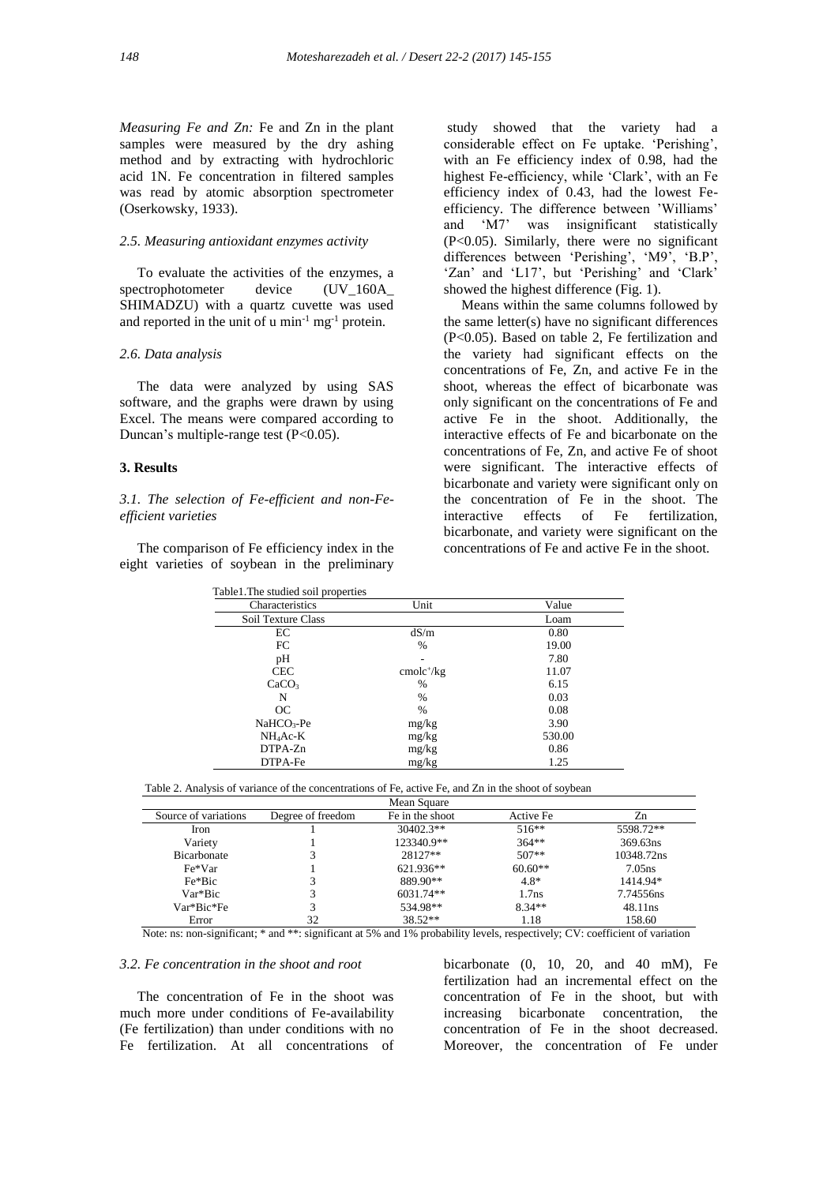*Measuring Fe and Zn:* Fe and Zn in the plant samples were measured by the dry ashing method and by extracting with hydrochloric acid 1N. Fe concentration in filtered samples was read by atomic absorption spectrometer (Oserkowsky, 1933).

### *2.5. Measuring antioxidant enzymes activity*

To evaluate the activities of the enzymes, a<br>ectrophotometer device (IJV 160A) spectrophotometer device (UV\_160A SHIMADZU) with a quartz cuvette was used and reported in the unit of  $u$  min<sup>-1</sup> mg<sup>-1</sup> protein.

#### *2.6. Data analysis*

 The data were analyzed by using SAS software, and the graphs were drawn by using Excel. The means were compared according to Duncan's multiple-range test (P<0.05).

#### **3. Results**

*3.1. The selection of Fe-efficient and non-Feefficient varieties*

 The comparison of Fe efficiency index in the eight varieties of soybean in the preliminary

study showed that the variety had a considerable effect on Fe uptake. 'Perishing', with an Fe efficiency index of 0.98, had the highest Fe-efficiency, while 'Clark', with an Fe efficiency index of 0.43, had the lowest Feefficiency. The difference between 'Williams' and 'M7' was insignificant statistically (P<0.05). Similarly, there were no significant differences between 'Perishing', 'M9', 'B.P', 'Zan' and 'L17', but 'Perishing' and 'Clark' showed the highest difference (Fig. 1).

 Means within the same columns followed by the same letter(s) have no significant differences (P<0.05). Based on table 2, Fe fertilization and the variety had significant effects on the concentrations of Fe, Zn, and active Fe in the shoot, whereas the effect of bicarbonate was only significant on the concentrations of Fe and active Fe in the shoot. Additionally, the interactive effects of Fe and bicarbonate on the concentrations of Fe, Zn, and active Fe of shoot were significant. The interactive effects of bicarbonate and variety were significant only on the concentration of Fe in the shoot. The interactive effects of Fe fertilization, bicarbonate, and variety were significant on the concentrations of Fe and active Fe in the shoot.

| Characteristics        | Unit        | Value  |
|------------------------|-------------|--------|
| Soil Texture Class     |             | Loam   |
| EC                     | dS/m        | 0.80   |
| FC                     | $\%$        | 19.00  |
| pH                     | ۰           | 7.80   |
| <b>CEC</b>             | $cmolc+/kg$ | 11.07  |
| CaCO <sub>3</sub>      | $\%$        | 6.15   |
| N                      | $\%$        | 0.03   |
| OC                     | $\%$        | 0.08   |
| NaHCO <sub>3</sub> -Pe | mg/kg       | 3.90   |
| $NH_4$ Ac-K            | mg/kg       | 530.00 |
| $DTPA-Zn$              | mg/kg       | 0.86   |
| DTPA-Fe                | mg/kg       | 1.25   |

|--|

|                      |                   | Mean Square     |                   |                    |
|----------------------|-------------------|-----------------|-------------------|--------------------|
| Source of variations | Degree of freedom | Fe in the shoot | Active Fe         | Zn                 |
| Iron                 |                   | $30402.3**$     | $516**$           | 5598.72**          |
| Variety              |                   | 123340.9**      | $364**$           | 369.63ns           |
| <b>Bicarbonate</b>   |                   | $28127**$       | $507**$           | 10348.72ns         |
| Fe*Var               |                   | $621.936**$     | $60.60**$         | 7.05 <sub>ns</sub> |
| Fe*Bic               |                   | 889.90**        | $4.8*$            | 1414.94*           |
| Var*Bic              |                   | 6031.74**       | 1.7 <sub>ns</sub> | 7.74556ns          |
| Var*Bic*Fe           |                   | 534.98**        | $8.34**$          | 48.11ns            |
| Error                | 32                | $38.52**$       | 1.18              | 158.60             |

Note: ns: non-significant; \* and \*\*: significant at 5% and 1% probability levels, respectively; CV: coefficient of variation

## *3.2. Fe concentration in the shoot and root*

 The concentration of Fe in the shoot was much more under conditions of Fe-availability (Fe fertilization) than under conditions with no Fe fertilization. At all concentrations of bicarbonate  $(0, 10, 20, \text{ and } 40 \text{ mM})$ , Fe fertilization had an incremental effect on the concentration of Fe in the shoot, but with increasing bicarbonate concentration, the concentration of Fe in the shoot decreased. Moreover, the concentration of Fe under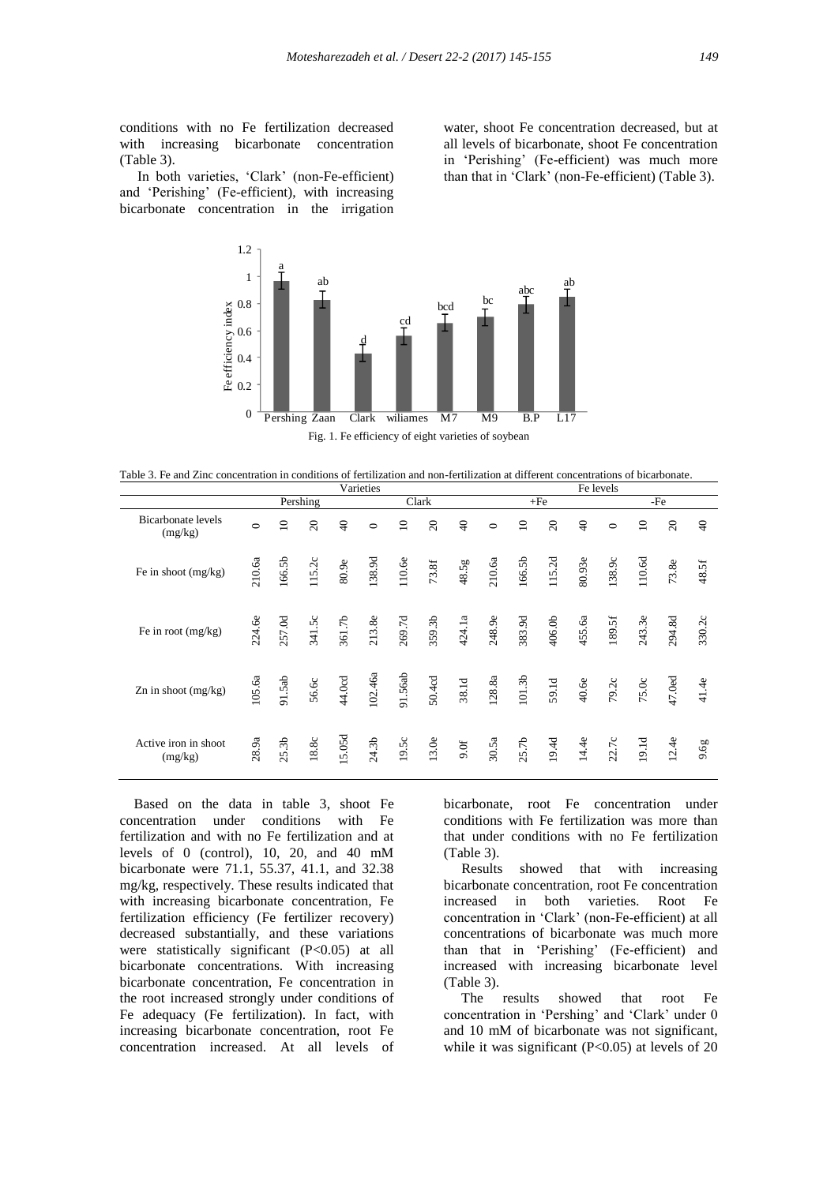conditions with no Fe fertilization decreased with increasing bicarbonate concentration (Table 3).

 In both varieties, 'Clark' (non-Fe-efficient) and 'Perishing' (Fe-efficient), with increasing bicarbonate concentration in the irrigation

1.2

water, shoot Fe concentration decreased, but at all levels of bicarbonate, shoot Fe concentration in 'Perishing' (Fe-efficient) was much more than that in 'Clark' (non-Fe-efficient) (Table 3).



Fig. 1. Fe efficiency of eight varieties of soybean

Table 3. Fe and Zinc concentration in conditions of fertilization and non-fertilization at different concentrations of bicarbonate.

|                                      | Varieties         |                   |                |                |         | Fe levels   |                |          |          |                    |                |                |                   |                 |                |                |
|--------------------------------------|-------------------|-------------------|----------------|----------------|---------|-------------|----------------|----------|----------|--------------------|----------------|----------------|-------------------|-----------------|----------------|----------------|
|                                      | Pershing<br>Clark |                   |                |                | $+Fe$   |             |                | -Fe      |          |                    |                |                |                   |                 |                |                |
| <b>Bicarbonate</b> levels<br>(mg/kg) | $\circ$           | $\supseteq$       | $\overline{c}$ | $\overline{4}$ | $\circ$ | $\supseteq$ | $\overline{c}$ | $\Theta$ | $\circ$  | $\overline{10}$    | $\overline{c}$ | $\overline{4}$ | $\circ$           | $\overline{10}$ | $\overline{c}$ | $\overline{4}$ |
| Fe in shoot (mg/kg)                  | 210.6a            | 166.5b            | 115.2c         | 80.9e          | 138.9d  | 110.6e      | $73.8f$        | 48.5g    | 210.6a   | 166.5b             | 115.2d         | 80.93e         | 138.9c            | $110.6d$        | 73.8e          | 48.5f          |
| Fe in root (mg/kg)                   | 224.6e            | 257.0d            | 341.5c         | 361.7b         | 213.8e  | 269.7d      | 359.3b         | 424.1a   | 248.9e   | 383.9d             | 406.0b         | 455.6a         | $189.5\mathrm{f}$ | 243.3e          | 294.8d         | 330.2c         |
| Zn in shoot (mg/kg)                  | 105.6a            | 91.5ab            | 56.60          | 44.0cd         | 102.46a | 91.56ab     | 50.4cd         | 38.1d    | $128.8a$ | 101.3 <sub>b</sub> | 59.1d          | 40.6e          | 79.2c             | 75.0c           | 47.0ed         | 41.4e          |
| Active iron in shoot<br>(mg/kg)      | 28.9a             | 25.3 <sub>b</sub> | $18.8c$        | 5.05d          | 24.3b   | 19.5c       | 13.0e          | 9.0f     | 30.5a    | 25.7 <sub>b</sub>  | 19.4d          | 14.4e          | 22.7c             | 19.1d           | 12.4e          | 9.6g           |

 Based on the data in table 3, shoot Fe concentration under conditions with Fe fertilization and with no Fe fertilization and at levels of 0 (control), 10, 20, and 40 mM bicarbonate were 71.1, 55.37, 41.1, and 32.38 mg/kg, respectively. These results indicated that with increasing bicarbonate concentration, Fe fertilization efficiency (Fe fertilizer recovery) decreased substantially, and these variations were statistically significant (P<0.05) at all bicarbonate concentrations. With increasing bicarbonate concentration, Fe concentration in the root increased strongly under conditions of Fe adequacy (Fe fertilization). In fact, with increasing bicarbonate concentration, root Fe concentration increased. At all levels of

bicarbonate, root Fe concentration under conditions with Fe fertilization was more than that under conditions with no Fe fertilization (Table 3).

 Results showed that with increasing bicarbonate concentration, root Fe concentration increased in both varieties. Root Fe concentration in 'Clark' (non-Fe-efficient) at all concentrations of bicarbonate was much more than that in 'Perishing' (Fe-efficient) and increased with increasing bicarbonate level (Table 3).

 The results showed that root Fe concentration in 'Pershing' and 'Clark' under 0 and 10 mM of bicarbonate was not significant, while it was significant  $(P<0.05)$  at levels of 20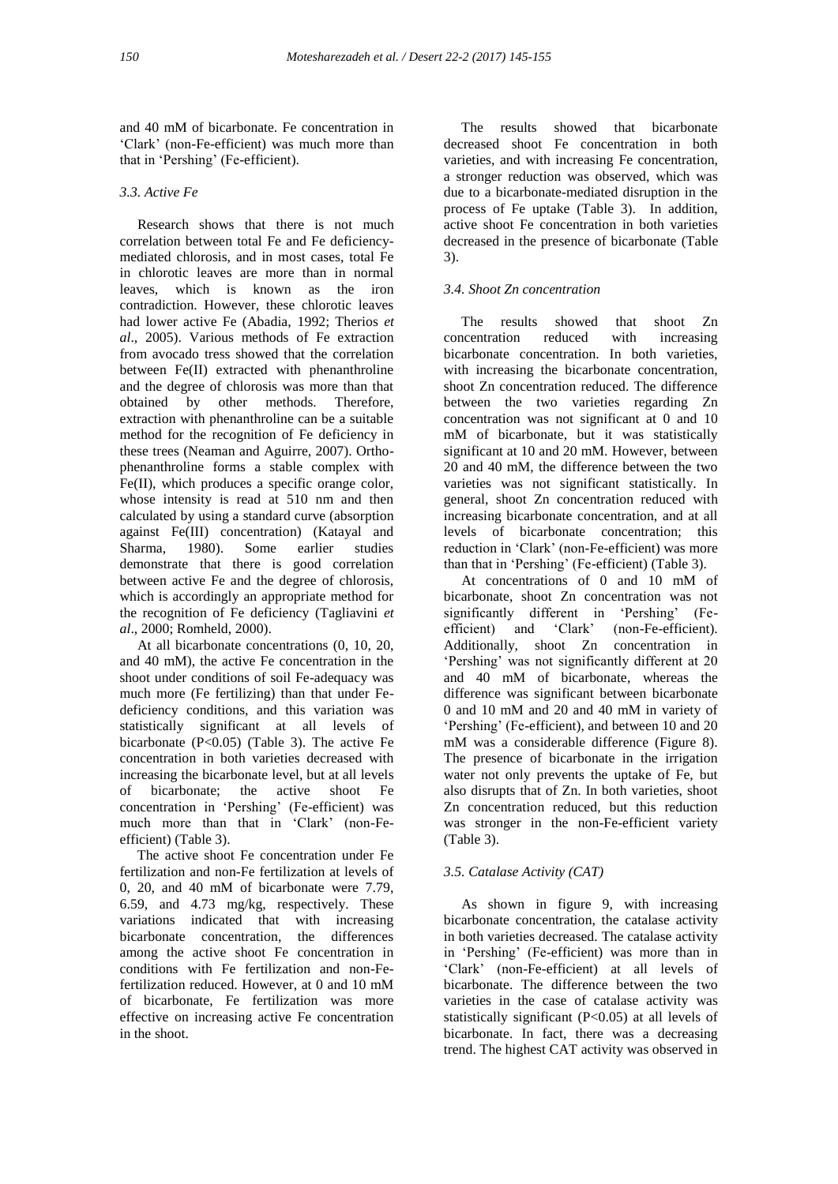and 40 mM of bicarbonate. Fe concentration in 'Clark' (non-Fe-efficient) was much more than that in 'Pershing' (Fe-efficient).

# *3.3. Active Fe*

 Research shows that there is not much correlation between total Fe and Fe deficiencymediated chlorosis, and in most cases, total Fe in chlorotic leaves are more than in normal leaves, which is known as the iron contradiction. However, these chlorotic leaves had lower active Fe (Abadia, 1992; Therios *et al*., 2005). Various methods of Fe extraction from avocado tress showed that the correlation between Fe(II) extracted with phenanthroline and the degree of chlorosis was more than that obtained by other methods. Therefore, extraction with phenanthroline can be a suitable method for the recognition of Fe deficiency in these trees (Neaman and Aguirre, 2007). Orthophenanthroline forms a stable complex with Fe(II), which produces a specific orange color, whose intensity is read at 510 nm and then calculated by using a standard curve (absorption against Fe(III) concentration) (Katayal and Sharma, 1980). Some earlier studies demonstrate that there is good correlation between active Fe and the degree of chlorosis, which is accordingly an appropriate method for the recognition of Fe deficiency (Tagliavini *et al*., 2000; Romheld, 2000).

 At all bicarbonate concentrations (0, 10, 20, and 40 mM), the active Fe concentration in the shoot under conditions of soil Fe-adequacy was much more (Fe fertilizing) than that under Fedeficiency conditions, and this variation was statistically significant at all levels of bicarbonate (P<0.05) (Table 3). The active Fe concentration in both varieties decreased with increasing the bicarbonate level, but at all levels of bicarbonate; the active shoot Fe concentration in 'Pershing' (Fe-efficient) was much more than that in 'Clark' (non-Feefficient) (Table 3).

 The active shoot Fe concentration under Fe fertilization and non-Fe fertilization at levels of 0, 20, and 40 mM of bicarbonate were 7.79, 6.59, and 4.73 mg/kg, respectively. These variations indicated that with increasing bicarbonate concentration, the differences among the active shoot Fe concentration in conditions with Fe fertilization and non-Fefertilization reduced. However, at 0 and 10 mM of bicarbonate, Fe fertilization was more effective on increasing active Fe concentration in the shoot.

 The results showed that bicarbonate decreased shoot Fe concentration in both varieties, and with increasing Fe concentration, a stronger reduction was observed, which was due to a bicarbonate-mediated disruption in the process of Fe uptake (Table 3). In addition, active shoot Fe concentration in both varieties decreased in the presence of bicarbonate (Table 3).

# *3.4. Shoot Zn concentration*

 The results showed that shoot Zn concentration reduced with increasing bicarbonate concentration. In both varieties, with increasing the bicarbonate concentration, shoot Zn concentration reduced. The difference between the two varieties regarding Zn concentration was not significant at 0 and 10 mM of bicarbonate, but it was statistically significant at 10 and 20 mM. However, between 20 and 40 mM, the difference between the two varieties was not significant statistically. In general, shoot Zn concentration reduced with increasing bicarbonate concentration, and at all levels of bicarbonate concentration; this reduction in 'Clark' (non-Fe-efficient) was more than that in 'Pershing' (Fe-efficient) (Table 3).

 At concentrations of 0 and 10 mM of bicarbonate, shoot Zn concentration was not significantly different in 'Pershing' (Feefficient) and 'Clark' (non-Fe-efficient). Additionally, shoot Zn concentration in 'Pershing' was not significantly different at 20 and 40 mM of bicarbonate, whereas the difference was significant between bicarbonate 0 and 10 mM and 20 and 40 mM in variety of 'Pershing' (Fe-efficient), and between 10 and 20 mM was a considerable difference (Figure 8). The presence of bicarbonate in the irrigation water not only prevents the uptake of Fe, but also disrupts that of Zn. In both varieties, shoot Zn concentration reduced, but this reduction was stronger in the non-Fe-efficient variety (Table 3).

## *3.5. Catalase Activity (CAT)*

 As shown in figure 9, with increasing bicarbonate concentration, the catalase activity in both varieties decreased. The catalase activity in 'Pershing' (Fe-efficient) was more than in 'Clark' (non-Fe-efficient) at all levels of bicarbonate. The difference between the two varieties in the case of catalase activity was statistically significant (P<0.05) at all levels of bicarbonate. In fact, there was a decreasing trend. The highest CAT activity was observed in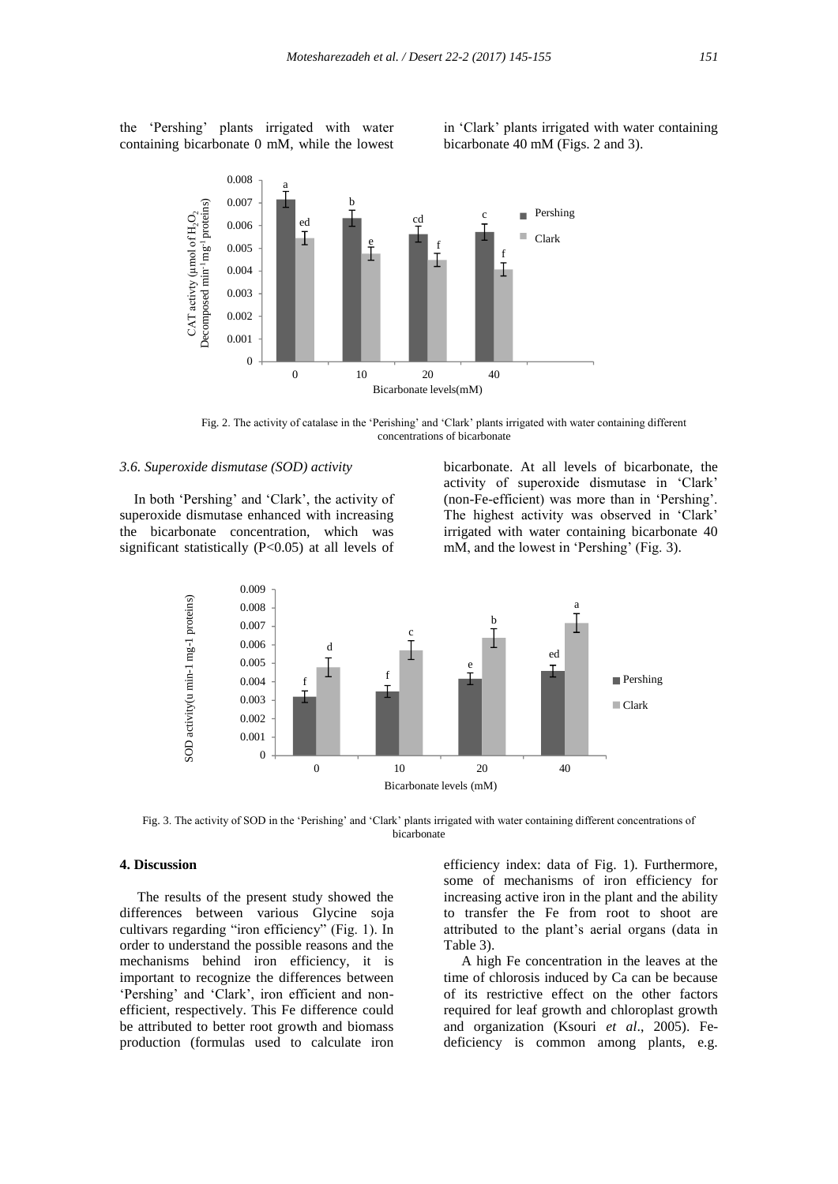the 'Pershing' plants irrigated with water containing bicarbonate 0 mM, while the lowest

in 'Clark' plants irrigated with water containing bicarbonate 40 mM (Figs. 2 and 3).



Fig. 2. The activity of catalase in the 'Perishing' and 'Clark' plants irrigated with water containing different concentrations of bicarbonate

## *3.6. Superoxide dismutase (SOD) activity*

 In both 'Pershing' and 'Clark', the activity of superoxide dismutase enhanced with increasing the bicarbonate concentration, which was significant statistically (P<0.05) at all levels of bicarbonate. At all levels of bicarbonate, the activity of superoxide dismutase in 'Clark' (non-Fe-efficient) was more than in 'Pershing'. The highest activity was observed in 'Clark' irrigated with water containing bicarbonate 40 mM, and the lowest in 'Pershing' (Fig. 3).



Fig. 3. The activity of SOD in the 'Perishing' and 'Clark' plants irrigated with water containing different concentrations of bicarbonate

## **4. Discussion**

 The results of the present study showed the differences between various Glycine soja cultivars regarding "iron efficiency" (Fig. 1). In order to understand the possible reasons and the mechanisms behind iron efficiency, it is important to recognize the differences between 'Pershing' and 'Clark', iron efficient and nonefficient, respectively. This Fe difference could be attributed to better root growth and biomass production (formulas used to calculate iron

efficiency index: data of Fig. 1). Furthermore, some of mechanisms of iron efficiency for increasing active iron in the plant and the ability to transfer the Fe from root to shoot are attributed to the plant's aerial organs (data in Table 3).

 A high Fe concentration in the leaves at the time of chlorosis induced by Ca can be because of its restrictive effect on the other factors required for leaf growth and chloroplast growth and organization (Ksouri *et al*., 2005). Fedeficiency is common among plants, e.g.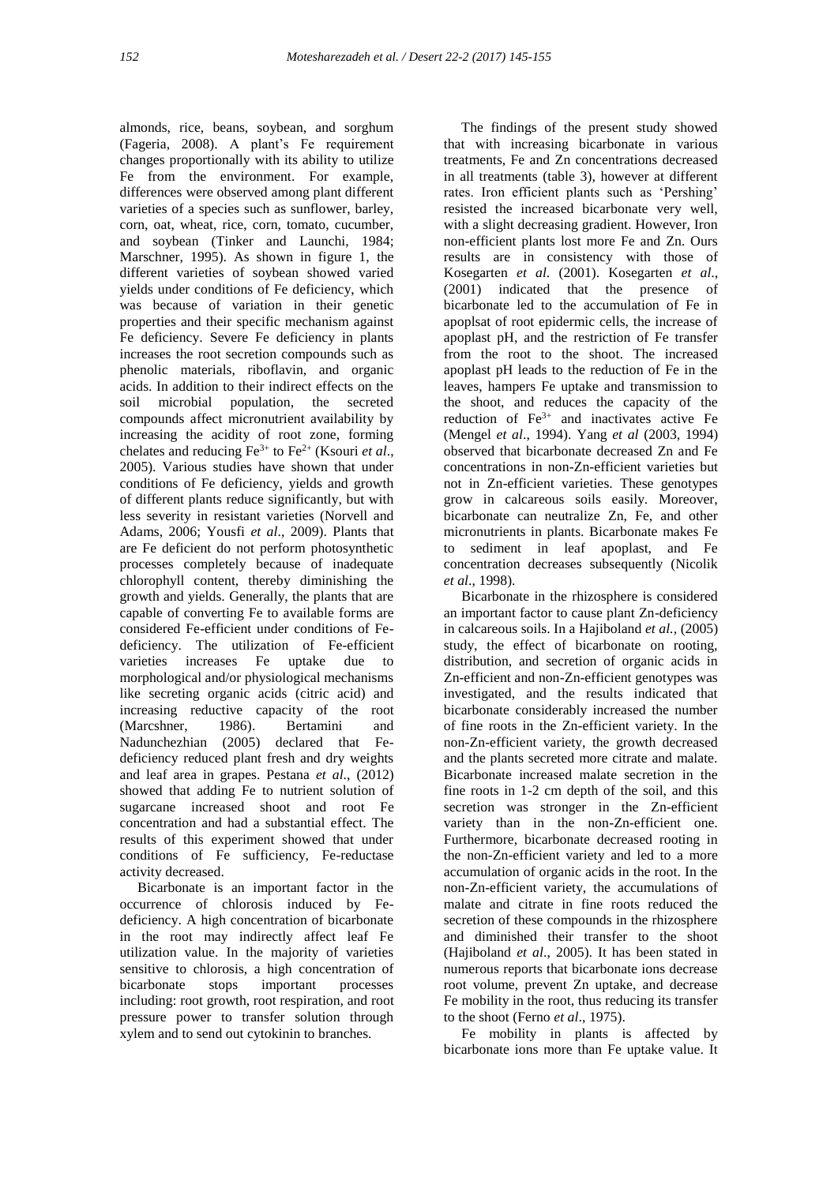almonds, rice, beans, soybean, and sorghum (Fageria, 2008). A plant's Fe requirement changes proportionally with its ability to utilize Fe from the environment. For example, differences were observed among plant different varieties of a species such as sunflower, barley, corn, oat, wheat, rice, corn, tomato, cucumber, and soybean (Tinker and Launchi, 1984; Marschner, 1995). As shown in figure 1, the different varieties of soybean showed varied yields under conditions of Fe deficiency, which was because of variation in their genetic properties and their specific mechanism against Fe deficiency. Severe Fe deficiency in plants increases the root secretion compounds such as phenolic materials, riboflavin, and organic acids. In addition to their indirect effects on the soil microbial population, the secreted compounds affect micronutrient availability by increasing the acidity of root zone, forming chelates and reducing Fe3+ to Fe2+ (Ksouri *et al*., 2005). Various studies have shown that under conditions of Fe deficiency, yields and growth of different plants reduce significantly, but with less severity in resistant varieties (Norvell and Adams, 2006; Yousfi *et al*., 2009). Plants that are Fe deficient do not perform photosynthetic processes completely because of inadequate chlorophyll content, thereby diminishing the growth and yields. Generally, the plants that are capable of converting Fe to available forms are considered Fe-efficient under conditions of Fedeficiency. The utilization of Fe-efficient varieties increases Fe uptake due to morphological and/or physiological mechanisms like secreting organic acids (citric acid) and increasing reductive capacity of the root (Marcshner, 1986). Bertamini and Nadunchezhian (2005) declared that Fedeficiency reduced plant fresh and dry weights and leaf area in grapes. Pestana *et al*., (2012) showed that adding Fe to nutrient solution of sugarcane increased shoot and root Fe concentration and had a substantial effect. The results of this experiment showed that under conditions of Fe sufficiency, Fe-reductase activity decreased.

 Bicarbonate is an important factor in the occurrence of chlorosis induced by Fedeficiency. A high concentration of bicarbonate in the root may indirectly affect leaf Fe utilization value. In the majority of varieties sensitive to chlorosis, a high concentration of bicarbonate stops important processes including: root growth, root respiration, and root pressure power to transfer solution through xylem and to send out cytokinin to branches.

 The findings of the present study showed that with increasing bicarbonate in various treatments, Fe and Zn concentrations decreased in all treatments (table 3), however at different rates. Iron efficient plants such as 'Pershing' resisted the increased bicarbonate very well, with a slight decreasing gradient. However, Iron non-efficient plants lost more Fe and Zn. Ours results are in consistency with those of Kosegarten *et al*. (2001). Kosegarten *et al*., (2001) indicated that the presence of bicarbonate led to the accumulation of Fe in apoplsat of root epidermic cells, the increase of apoplast pH, and the restriction of Fe transfer from the root to the shoot. The increased apoplast pH leads to the reduction of Fe in the leaves, hampers Fe uptake and transmission to the shoot, and reduces the capacity of the reduction of  $Fe<sup>3+</sup>$  and inactivates active Fe (Mengel *et al*., 1994). Yang *et al* (2003, 1994) observed that bicarbonate decreased Zn and Fe concentrations in non-Zn-efficient varieties but not in Zn-efficient varieties. These genotypes grow in calcareous soils easily. Moreover, bicarbonate can neutralize Zn, Fe, and other micronutrients in plants. Bicarbonate makes Fe to sediment in leaf apoplast, and Fe concentration decreases subsequently (Nicolik *et al*., 1998).

 Bicarbonate in the rhizosphere is considered an important factor to cause plant Zn-deficiency in calcareous soils. In a Hajiboland *et al.,* (2005) study, the effect of bicarbonate on rooting, distribution, and secretion of organic acids in Zn-efficient and non-Zn-efficient genotypes was investigated, and the results indicated that bicarbonate considerably increased the number of fine roots in the Zn-efficient variety. In the non-Zn-efficient variety, the growth decreased and the plants secreted more citrate and malate. Bicarbonate increased malate secretion in the fine roots in 1-2 cm depth of the soil, and this secretion was stronger in the Zn-efficient variety than in the non-Zn-efficient one. Furthermore, bicarbonate decreased rooting in the non-Zn-efficient variety and led to a more accumulation of organic acids in the root. In the non-Zn-efficient variety, the accumulations of malate and citrate in fine roots reduced the secretion of these compounds in the rhizosphere and diminished their transfer to the shoot (Hajiboland *et al*., 2005). It has been stated in numerous reports that bicarbonate ions decrease root volume, prevent Zn uptake, and decrease Fe mobility in the root, thus reducing its transfer to the shoot (Ferno *et al*., 1975).

 Fe mobility in plants is affected by bicarbonate ions more than Fe uptake value. It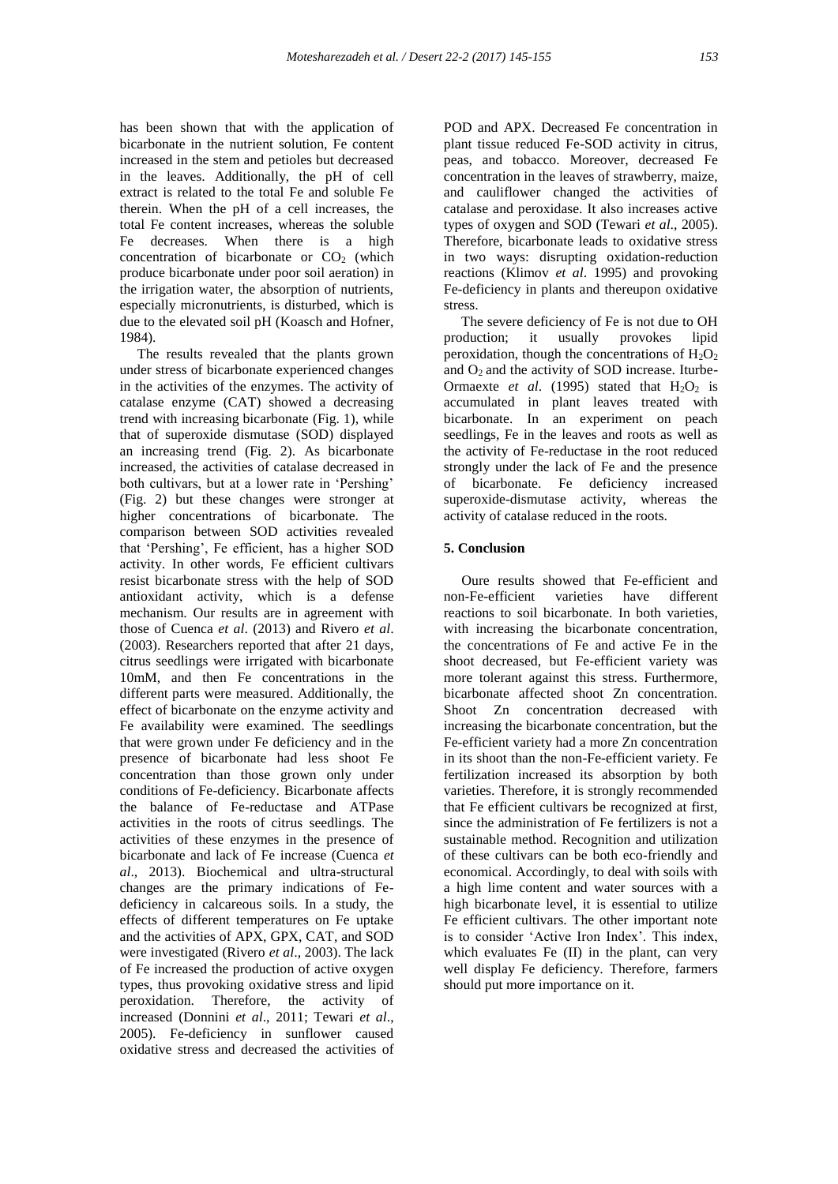has been shown that with the application of bicarbonate in the nutrient solution, Fe content increased in the stem and petioles but decreased in the leaves. Additionally, the pH of cell extract is related to the total Fe and soluble Fe therein. When the pH of a cell increases, the total Fe content increases, whereas the soluble Fe decreases. When there is a high concentration of bicarbonate or  $CO<sub>2</sub>$  (which produce bicarbonate under poor soil aeration) in the irrigation water, the absorption of nutrients, especially micronutrients, is disturbed, which is due to the elevated soil pH (Koasch and Hofner, 1984).

 The results revealed that the plants grown under stress of bicarbonate experienced changes in the activities of the enzymes. The activity of catalase enzyme (CAT) showed a decreasing trend with increasing bicarbonate (Fig. 1), while that of superoxide dismutase (SOD) displayed an increasing trend (Fig. 2). As bicarbonate increased, the activities of catalase decreased in both cultivars, but at a lower rate in 'Pershing' (Fig. 2) but these changes were stronger at higher concentrations of bicarbonate. The comparison between SOD activities revealed that 'Pershing', Fe efficient, has a higher SOD activity. In other words, Fe efficient cultivars resist bicarbonate stress with the help of SOD antioxidant activity, which is a defense mechanism. Our results are in agreement with those of Cuenca *et al*. (2013) and Rivero *et al*. (2003). Researchers reported that after 21 days, citrus seedlings were irrigated with bicarbonate 10mM, and then Fe concentrations in the different parts were measured. Additionally, the effect of bicarbonate on the enzyme activity and Fe availability were examined. The seedlings that were grown under Fe deficiency and in the presence of bicarbonate had less shoot Fe concentration than those grown only under conditions of Fe-deficiency. Bicarbonate affects the balance of Fe-reductase and ATPase activities in the roots of citrus seedlings. The activities of these enzymes in the presence of bicarbonate and lack of Fe increase (Cuenca *et al*., 2013). Biochemical and ultra-structural changes are the primary indications of Fedeficiency in calcareous soils. In a study, the effects of different temperatures on Fe uptake and the activities of APX, GPX, CAT, and SOD were investigated (Rivero *et al*., 2003). The lack of Fe increased the production of active oxygen types, thus provoking oxidative stress and lipid peroxidation. Therefore, the activity of increased (Donnini *et al*., 2011; Tewari *et al*., 2005). Fe-deficiency in sunflower caused oxidative stress and decreased the activities of

POD and APX. Decreased Fe concentration in plant tissue reduced Fe-SOD activity in citrus, peas, and tobacco. Moreover, decreased Fe concentration in the leaves of strawberry, maize, and cauliflower changed the activities of catalase and peroxidase. It also increases active types of oxygen and SOD (Tewari *et al*., 2005). Therefore, bicarbonate leads to oxidative stress in two ways: disrupting oxidation-reduction reactions (Klimov *et al*. 1995) and provoking Fe-deficiency in plants and thereupon oxidative stress.

 The severe deficiency of Fe is not due to OH production; it usually provokes lipid peroxidation, though the concentrations of  $H_2O_2$ and  $O_2$  and the activity of SOD increase. Iturbe-Ormaexte *et al.* (1995) stated that  $H_2O_2$  is accumulated in plant leaves treated with bicarbonate. In an experiment on peach seedlings, Fe in the leaves and roots as well as the activity of Fe-reductase in the root reduced strongly under the lack of Fe and the presence of bicarbonate. Fe deficiency increased superoxide-dismutase activity, whereas the activity of catalase reduced in the roots.

## **5. Conclusion**

 Oure results showed that Fe-efficient and non-Fe-efficient varieties have different reactions to soil bicarbonate. In both varieties with increasing the bicarbonate concentration, the concentrations of Fe and active Fe in the shoot decreased, but Fe-efficient variety was more tolerant against this stress. Furthermore, bicarbonate affected shoot Zn concentration. Shoot Zn concentration decreased with increasing the bicarbonate concentration, but the Fe-efficient variety had a more Zn concentration in its shoot than the non-Fe-efficient variety. Fe fertilization increased its absorption by both varieties. Therefore, it is strongly recommended that Fe efficient cultivars be recognized at first, since the administration of Fe fertilizers is not a sustainable method. Recognition and utilization of these cultivars can be both eco-friendly and economical. Accordingly, to deal with soils with a high lime content and water sources with a high bicarbonate level, it is essential to utilize Fe efficient cultivars. The other important note is to consider 'Active Iron Index'. This index, which evaluates Fe (II) in the plant, can very well display Fe deficiency. Therefore, farmers should put more importance on it.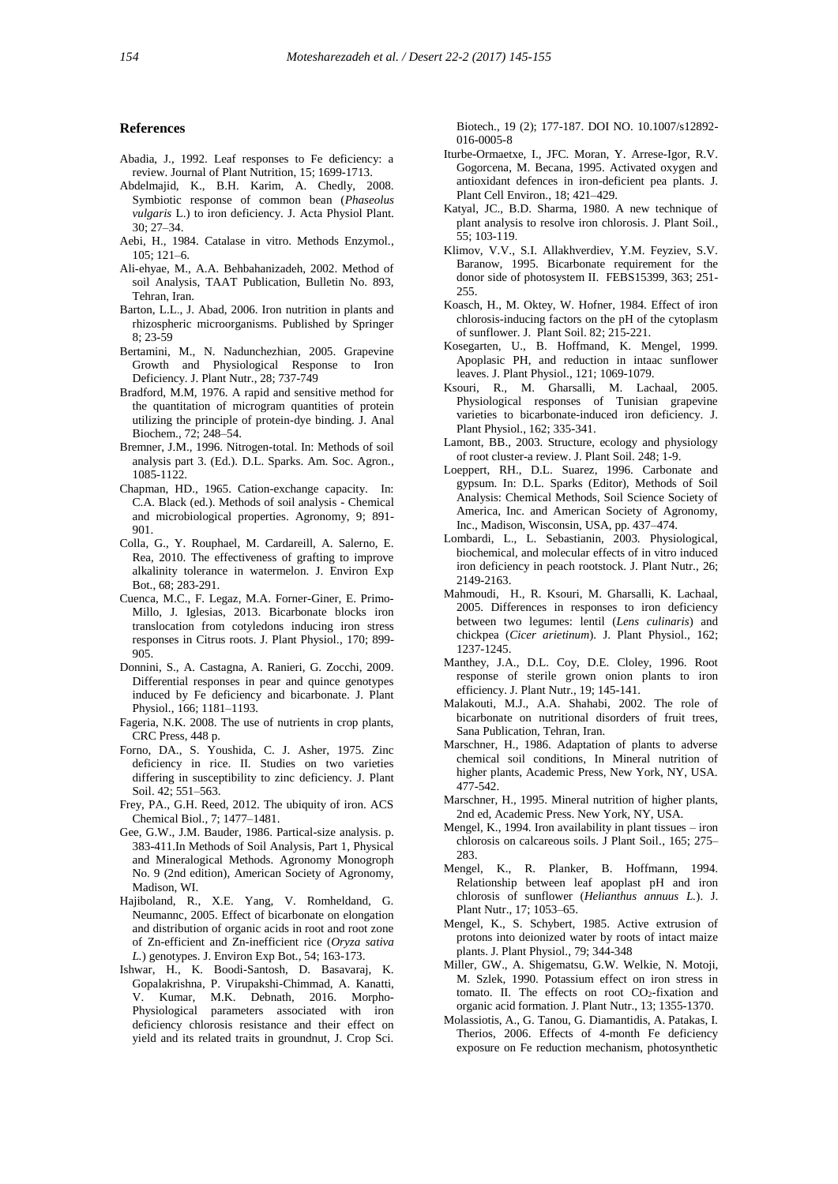#### **References**

- Abadia, J., 1992. Leaf responses to Fe deficiency: a review. Journal of Plant Nutrition, 15; 1699-1713.
- Abdelmajid, K., B.H. Karim, A. Chedly, 2008. Symbiotic response of common bean (*Phaseolus vulgaris* L.) to iron deficiency. J. Acta Physiol Plant. 30; 27–34.
- Aebi, H., 1984. Catalase in vitro. Methods Enzymol., 105; 121–6.
- Ali-ehyae, M., A.A. Behbahanizadeh, 2002. Method of soil Analysis, TAAT Publication, Bulletin No. 893, Tehran, Iran.
- Barton, L.L., J. Abad, 2006. Iron nutrition in plants and rhizospheric microorganisms. Published by Springer 8; 23-59
- Bertamini*,* M., N. Nadunchezhian*,* 2005. Grapevine Growth and Physiological Response to Iron Deficiency. J. Plant Nutr., 28; 737-749
- Bradford, M.M, 1976. A rapid and sensitive method for the quantitation of microgram quantities of protein utilizing the principle of protein-dye binding. J. Anal Biochem., 72; 248–54.
- Bremner, J.M., 1996. Nitrogen-total. In: Methods of soil analysis part 3. (Ed.). D.L. Sparks. Am. Soc. Agron., 1085-1122.
- Chapman, HD., 1965. Cation-exchange capacity. In: C.A. Black (ed.). Methods of soil analysis - Chemical and microbiological properties. Agronomy, 9; 891- 901.
- Colla, G., Y. Rouphael, M. Cardareill, A. Salerno, E. Rea, 2010. The effectiveness of grafting to improve alkalinity tolerance in watermelon. J. Environ Exp Bot., 68; 283-291.
- Cuenca, M.C., F. Legaz, M.A. Forner-Giner, E. Primo-Millo, J. Iglesias, 2013. Bicarbonate blocks iron translocation from cotyledons inducing iron stress responses in Citrus roots. J. Plant Physiol*.,* 170; 899- 905.
- Donnini, S., A. Castagna, A. Ranieri, G. Zocchi, 2009. Differential responses in pear and quince genotypes induced by Fe deficiency and bicarbonate. J. Plant Physiol., 166; 1181–1193.
- Fageria, N.K. 2008. The use of nutrients in crop plants, CRC Press, 448 p.
- Forno, DA., S. Youshida, C. J. Asher, 1975. Zinc deficiency in rice. II. Studies on two varieties differing in susceptibility to zinc deficiency. J. Plant Soil. 42; 551–563.
- Frey, PA., G.H. Reed, 2012. The ubiquity of iron. ACS Chemical Biol., 7; 1477–1481.
- Gee, G.W., J.M. Bauder, 1986. Partical-size analysis. p. 383-411.In Methods of Soil Analysis, Part 1, Physical and Mineralogical Methods. Agronomy Monogroph No. 9 (2nd edition), American Society of Agronomy, Madison, WI.
- Hajiboland, R., X.E. Yang, V. Romheldand, G. Neumannc, 2005. Effect of bicarbonate on elongation and distribution of organic acids in root and root zone of Zn-efficient and Zn-inefficient rice (*Oryza sativa L.*) genotypes. J. Environ Exp Bot*.,* 54; 163-173.
- Ishwar, H., K. Boodi-Santosh, D. Basavaraj, K. Gopalakrishna, P. Virupakshi-Chimmad, A. Kanatti, V. Kumar, M.K. Debnath, 2016. Morpho-Physiological parameters associated with iron deficiency chlorosis resistance and their effect on yield and its related traits in groundnut, J. Crop Sci.

Biotech., 19 (2); 177-187. DOI NO. 10.1007/s12892- 016-0005-8

- Iturbe-Ormaetxe, I., JFC. Moran, Y. Arrese-Igor, R.V. Gogorcena, M. Becana, 1995. Activated oxygen and antioxidant defences in iron-deficient pea plants. J. Plant Cell Environ., 18; 421–429.
- Katyal, JC., B.D. Sharma, 1980. A new technique of plant analysis to resolve iron chlorosis. J. Plant Soil*.,* 55; 103-119.
- Klimov, V.V., S.I. Allakhverdiev, Y.M. Feyziev, S.V. Baranow, 1995. Bicarbonate requirement for the donor side of photosystem II. FEBS15399, 363; 251-255.
- Koasch, H., M. Oktey, W. Hofner, 1984. Effect of iron chlorosis-inducing factors on the pH of the cytoplasm of sunflower. J. Plant Soil. 82; 215-221.
- Kosegarten, U., B. Hoffmand, K. Mengel, 1999. Apoplasic PH, and reduction in intaac sunflower leaves. J. Plant Physiol., 121; 1069-1079.
- Ksouri, R., M. Gharsalli, M. Lachaal, 2005. Physiological responses of Tunisian grapevine varieties to bicarbonate-induced iron deficiency. J. Plant Physiol., 162; 335-341.
- Lamont, BB., 2003. Structure, ecology and physiology of root cluster-a review. J. Plant Soil. 248; 1-9.
- Loeppert, RH., D.L. Suarez, 1996. Carbonate and gypsum. In: D.L. Sparks (Editor), Methods of Soil Analysis: Chemical Methods, Soil Science Society of America, Inc. and American Society of Agronomy, Inc., Madison, Wisconsin, USA, pp. 437–474.
- Lombardi, L., L. Sebastianin, 2003. Physiological, biochemical, and molecular effects of in vitro induced iron deficiency in peach rootstock. J. Plant Nutr., 26; 2149-2163.
- Mahmoudi, H., R. Ksouri, M. Gharsalli, K. Lachaal, 2005. Differences in responses to iron deficiency between two legumes: lentil (*Lens culinaris*) and chickpea (*Cicer arietinum*). J. Plant Physiol., 162; 1237-1245.
- Manthey, J.A., D.L. Coy, D.E. Cloley, 1996. Root response of sterile grown onion plants to iron efficiency. J. Plant Nutr., 19; 145-141.
- Malakouti, M.J., A.A. Shahabi, 2002. The role of bicarbonate on nutritional disorders of fruit trees, Sana Publication, Tehran, Iran.
- Marschner, H., 1986. Adaptation of plants to adverse chemical soil conditions, In Mineral nutrition of higher plants, Academic Press, New York, NY, USA. 477-542.
- Marschner, H., 1995. Mineral nutrition of higher plants, 2nd ed, Academic Press. New York, NY, USA.
- Mengel, K., 1994. Iron availability in plant tissues iron chlorosis on calcareous soils. J Plant Soil., 165; 275– 283.
- Mengel, K., R. Planker, B. Hoffmann, 1994. Relationship between leaf apoplast pH and iron chlorosis of sunflower (*Helianthus annuus L.*). J. Plant Nutr., 17; 1053–65.
- Mengel, K., S. Schybert, 1985. Active extrusion of protons into deionized water by roots of intact maize plants. J. Plant Physiol., 79; 344-348
- Miller, GW., A. Shigematsu, G.W. Welkie, N. Motoji, M. Szlek, 1990. Potassium effect on iron stress in tomato. II. The effects on root CO<sub>2</sub>-fixation and organic acid formation. J. Plant Nutr., 13; 1355-1370.
- Molassiotis, A., G. Tanou, G. Diamantidis, A. Patakas, I. Therios, 2006. Effects of 4-month Fe deficiency exposure on Fe reduction mechanism, photosynthetic